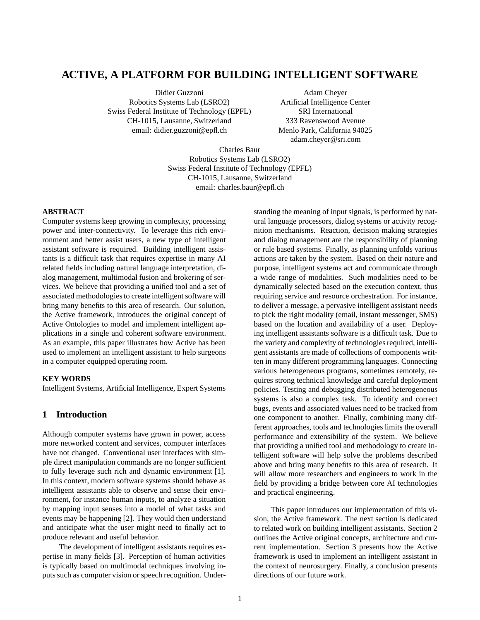# **ACTIVE, A PLATFORM FOR BUILDING INTELLIGENT SOFTWARE**

Didier Guzzoni Robotics Systems Lab (LSRO2) Swiss Federal Institute of Technology (EPFL) CH-1015, Lausanne, Switzerland email: didier.guzzoni@epfl.ch

Adam Cheyer Artificial Intelligence Center SRI International 333 Ravenswood Avenue Menlo Park, California 94025 adam.cheyer@sri.com

Charles Baur Robotics Systems Lab (LSRO2) Swiss Federal Institute of Technology (EPFL) CH-1015, Lausanne, Switzerland email: charles.baur@epfl.ch

### **ABSTRACT**

Computer systems keep growing in complexity, processing power and inter-connectivity. To leverage this rich environment and better assist users, a new type of intelligent assistant software is required. Building intelligent assistants is a difficult task that requires expertise in many AI related fields including natural language interpretation, dialog management, multimodal fusion and brokering of services. We believe that providing a unified tool and a set of associated methodologies to create intelligent software will bring many benefits to this area of research. Our solution, the Active framework, introduces the original concept of Active Ontologies to model and implement intelligent applications in a single and coherent software environment. As an example, this paper illustrates how Active has been used to implement an intelligent assistant to help surgeons in a computer equipped operating room.

### **KEY WORDS**

Intelligent Systems, Artificial Intelligence, Expert Systems

# **1 Introduction**

Although computer systems have grown in power, access more networked content and services, computer interfaces have not changed. Conventional user interfaces with simple direct manipulation commands are no longer sufficient to fully leverage such rich and dynamic environment [1]. In this context, modern software systems should behave as intelligent assistants able to observe and sense their environment, for instance human inputs, to analyze a situation by mapping input senses into a model of what tasks and events may be happening [2]. They would then understand and anticipate what the user might need to finally act to produce relevant and useful behavior.

The development of intelligent assistants requires expertise in many fields [3]. Perception of human activities is typically based on multimodal techniques involving inputs such as computer vision or speech recognition. Understanding the meaning of input signals, is performed by natural language processors, dialog systems or activity recognition mechanisms. Reaction, decision making strategies and dialog management are the responsibility of planning or rule based systems. Finally, as planning unfolds various actions are taken by the system. Based on their nature and purpose, intelligent systems act and communicate through a wide range of modalities. Such modalities need to be dynamically selected based on the execution context, thus requiring service and resource orchestration. For instance, to deliver a message, a pervasive intelligent assistant needs to pick the right modality (email, instant messenger, SMS) based on the location and availability of a user. Deploying intelligent assistants software is a difficult task. Due to the variety and complexity of technologies required, intelligent assistants are made of collections of components written in many different programming languages. Connecting various heterogeneous programs, sometimes remotely, requires strong technical knowledge and careful deployment policies. Testing and debugging distributed heterogeneous systems is also a complex task. To identify and correct bugs, events and associated values need to be tracked from one component to another. Finally, combining many different approaches, tools and technologies limits the overall performance and extensibility of the system. We believe that providing a unified tool and methodology to create intelligent software will help solve the problems described above and bring many benefits to this area of research. It will allow more researchers and engineers to work in the field by providing a bridge between core AI technologies and practical engineering.

This paper introduces our implementation of this vision, the Active framework. The next section is dedicated to related work on building intelligent assistants. Section 2 outlines the Active original concepts, architecture and current implementation. Section 3 presents how the Active framework is used to implement an intelligent assistant in the context of neurosurgery. Finally, a conclusion presents directions of our future work.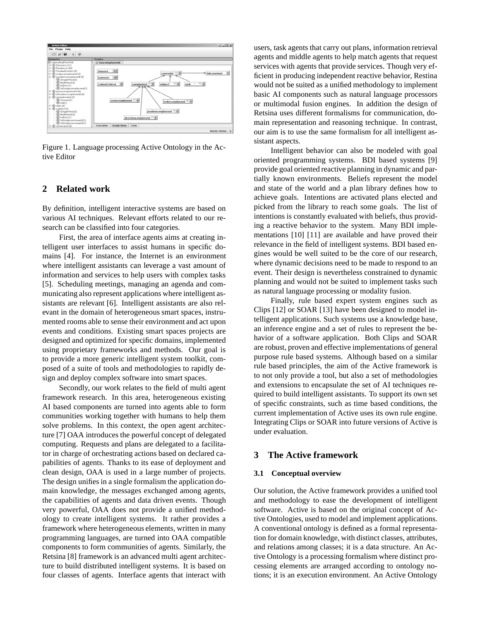

Figure 1. Language processing Active Ontology in the Active Editor

# **2 Related work**

By definition, intelligent interactive systems are based on various AI techniques. Relevant efforts related to our research can be classified into four categories.

First, the area of interface agents aims at creating intelligent user interfaces to assist humans in specific domains [4]. For instance, the Internet is an environment where intelligent assistants can leverage a vast amount of information and services to help users with complex tasks [5]. Scheduling meetings, managing an agenda and communicating also represent applications where intelligent assistants are relevant [6]. Intelligent assistants are also relevant in the domain of heterogeneous smart spaces, instrumented rooms able to sense their environment and act upon events and conditions. Existing smart spaces projects are designed and optimized for specific domains, implemented using proprietary frameworks and methods. Our goal is to provide a more generic intelligent system toolkit, composed of a suite of tools and methodologies to rapidly design and deploy complex software into smart spaces.

Secondly, our work relates to the field of multi agent framework research. In this area, heterogeneous existing AI based components are turned into agents able to form communities working together with humans to help them solve problems. In this context, the open agent architecture [7] OAA introduces the powerful concept of delegated computing. Requests and plans are delegated to a facilitator in charge of orchestrating actions based on declared capabilities of agents. Thanks to its ease of deployment and clean design, OAA is used in a large number of projects. The design unifies in a single formalism the application domain knowledge, the messages exchanged among agents, the capabilities of agents and data driven events. Though very powerful, OAA does not provide a unified methodology to create intelligent systems. It rather provides a framework where heterogeneous elements, written in many programming languages, are turned into OAA compatible components to form communities of agents. Similarly, the Retsina [8] framework is an advanced multi agent architecture to build distributed intelligent systems. It is based on four classes of agents. Interface agents that interact with

users, task agents that carry out plans, information retrieval agents and middle agents to help match agents that request services with agents that provide services. Though very efficient in producing independent reactive behavior, Restina would not be suited as a unified methodology to implement basic AI components such as natural language processors or multimodal fusion engines. In addition the design of Retsina uses different formalisms for communication, domain representation and reasoning technique. In contrast, our aim is to use the same formalism for all intelligent assistant aspects.

Intelligent behavior can also be modeled with goal oriented programming systems. BDI based systems [9] provide goal oriented reactive planning in dynamic and partially known environments. Beliefs represent the model and state of the world and a plan library defines how to achieve goals. Intentions are activated plans elected and picked from the library to reach some goals. The list of intentions is constantly evaluated with beliefs, thus providing a reactive behavior to the system. Many BDI implementations [10] [11] are available and have proved their relevance in the field of intelligent systems. BDI based engines would be well suited to be the core of our research, where dynamic decisions need to be made to respond to an event. Their design is nevertheless constrained to dynamic planning and would not be suited to implement tasks such as natural language processing or modality fusion.

Finally, rule based expert system engines such as Clips [12] or SOAR [13] have been designed to model intelligent applications. Such systems use a knowledge base, an inference engine and a set of rules to represent the behavior of a software application. Both Clips and SOAR are robust, proven and effective implementations of general purpose rule based systems. Although based on a similar rule based principles, the aim of the Active framework is to not only provide a tool, but also a set of methodologies and extensions to encapsulate the set of AI techniques required to build intelligent assistants. To support its own set of specific constraints, such as time based conditions, the current implementation of Active uses its own rule engine. Integrating Clips or SOAR into future versions of Active is under evaluation.

#### **3 The Active framework**

#### **3.1 Conceptual overview**

Our solution, the Active framework provides a unified tool and methodology to ease the development of intelligent software. Active is based on the original concept of Active Ontologies, used to model and implement applications. A conventional ontology is defined as a formal representation for domain knowledge, with distinct classes, attributes, and relations among classes; it is a data structure. An Active Ontology is a processing formalism where distinct processing elements are arranged according to ontology notions; it is an execution environment. An Active Ontology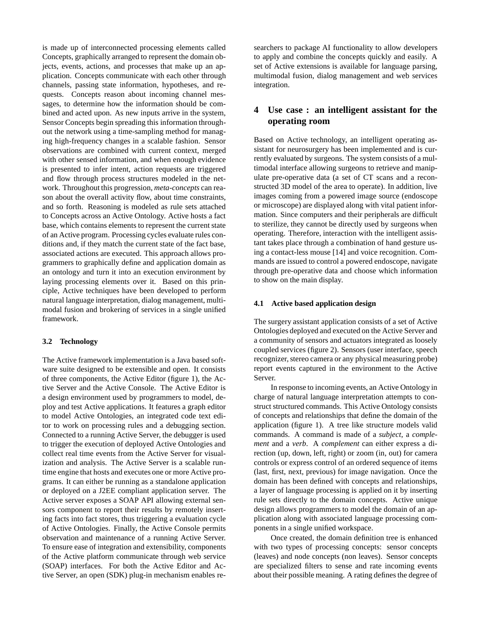is made up of interconnected processing elements called Concepts, graphically arranged to represent the domain objects, events, actions, and processes that make up an application. Concepts communicate with each other through channels, passing state information, hypotheses, and requests. Concepts reason about incoming channel messages, to determine how the information should be combined and acted upon. As new inputs arrive in the system, Sensor Concepts begin spreading this information throughout the network using a time-sampling method for managing high-frequency changes in a scalable fashion. Sensor observations are combined with current context, merged with other sensed information, and when enough evidence is presented to infer intent, action requests are triggered and flow through process structures modeled in the network. Throughout this progression, *meta-concepts* can reason about the overall activity flow, about time constraints, and so forth. Reasoning is modeled as rule sets attached to Concepts across an Active Ontology. Active hosts a fact base, which contains elements to represent the current state of an Active program. Processing cycles evaluate rules conditions and, if they match the current state of the fact base, associated actions are executed. This approach allows programmers to graphically define and application domain as an ontology and turn it into an execution environment by laying processing elements over it. Based on this principle, Active techniques have been developed to perform natural language interpretation, dialog management, multimodal fusion and brokering of services in a single unified framework.

#### **3.2 Technology**

The Active framework implementation is a Java based software suite designed to be extensible and open. It consists of three components, the Active Editor (figure 1), the Active Server and the Active Console. The Active Editor is a design environment used by programmers to model, deploy and test Active applications. It features a graph editor to model Active Ontologies, an integrated code text editor to work on processing rules and a debugging section. Connected to a running Active Server, the debugger is used to trigger the execution of deployed Active Ontologies and collect real time events from the Active Server for visualization and analysis. The Active Server is a scalable runtime engine that hosts and executes one or more Active programs. It can either be running as a standalone application or deployed on a J2EE compliant application server. The Active server exposes a SOAP API allowing external sensors component to report their results by remotely inserting facts into fact stores, thus triggering a evaluation cycle of Active Ontologies. Finally, the Active Console permits observation and maintenance of a running Active Server. To ensure ease of integration and extensibility, components of the Active platform communicate through web service (SOAP) interfaces. For both the Active Editor and Active Server, an open (SDK) plug-in mechanism enables re-

searchers to package AI functionality to allow developers to apply and combine the concepts quickly and easily. A set of Active extensions is available for language parsing, multimodal fusion, dialog management and web services integration.

# **4 Use case : an intelligent assistant for the operating room**

Based on Active technology, an intelligent operating assistant for neurosurgery has been implemented and is currently evaluated by surgeons. The system consists of a multimodal interface allowing surgeons to retrieve and manipulate pre-operative data (a set of CT scans and a reconstructed 3D model of the area to operate). In addition, live images coming from a powered image source (endoscope or microscope) are displayed along with vital patient information. Since computers and their peripherals are difficult to sterilize, they cannot be directly used by surgeons when operating. Therefore, interaction with the intelligent assistant takes place through a combination of hand gesture using a contact-less mouse [14] and voice recognition. Commands are issued to control a powered endoscope, navigate through pre-operative data and choose which information to show on the main display.

#### **4.1 Active based application design**

The surgery assistant application consists of a set of Active Ontologies deployed and executed on the Active Server and a community of sensors and actuators integrated as loosely coupled services (figure 2). Sensors (user interface, speech recognizer, stereo camera or any physical measuring probe) report events captured in the environment to the Active Server.

In response to incoming events, an Active Ontology in charge of natural language interpretation attempts to construct structured commands. This Active Ontology consists of concepts and relationships that define the domain of the application (figure 1). A tree like structure models valid commands. A command is made of a *subject*, a *complement* and a *verb*. A *complement* can either express a direction (up, down, left, right) or zoom (in, out) for camera controls or express control of an ordered sequence of items (last, first, next, previous) for image navigation. Once the domain has been defined with concepts and relationships, a layer of language processing is applied on it by inserting rule sets directly to the domain concepts. Active unique design allows programmers to model the domain of an application along with associated language processing components in a single unified workspace.

Once created, the domain definition tree is enhanced with two types of processing concepts: sensor concepts (leaves) and node concepts (non leaves). Sensor concepts are specialized filters to sense and rate incoming events about their possible meaning. A rating defines the degree of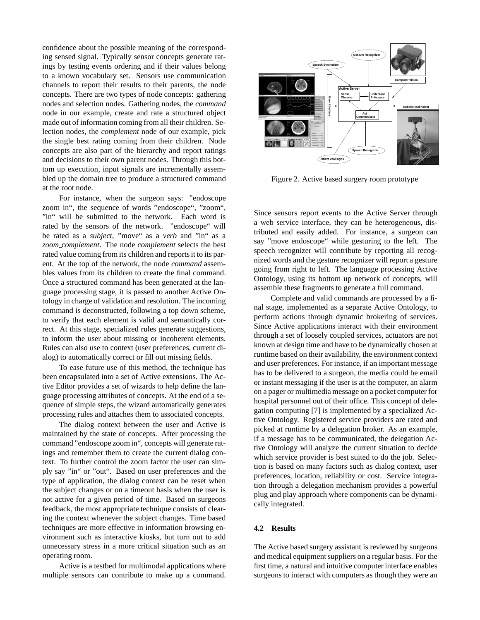confidence about the possible meaning of the corresponding sensed signal. Typically sensor concepts generate ratings by testing events ordering and if their values belong to a known vocabulary set. Sensors use communication channels to report their results to their parents, the node concepts. There are two types of node concepts: gathering nodes and selection nodes. Gathering nodes, the *command* node in our example, create and rate a structured object made out of information coming from all their children. Selection nodes, the *complement* node of our example, pick the single best rating coming from their children. Node concepts are also part of the hierarchy and report ratings and decisions to their own parent nodes. Through this bottom up execution, input signals are incrementally assembled up the domain tree to produce a structured command at the root node.

For instance, when the surgeon says: "endoscope zoom in", the sequence of words "endoscope", "zoom", "in" will be submitted to the network. Each word is rated by the sensors of the network. "endoscope" will be rated as a *subject*, "move" as a *verb* and "in" as a *zoom complement*. The node *complement* selects the best rated value coming from its children and reports it to its parent. At the top of the network, the node *command* assembles values from its children to create the final command. Once a structured command has been generated at the language processing stage, it is passed to another Active Ontology in charge of validation and resolution. The incoming command is deconstructed, following a top down scheme, to verify that each element is valid and semantically correct. At this stage, specialized rules generate suggestions, to inform the user about missing or incoherent elements. Rules can also use to context (user preferences, current dialog) to automatically correct or fill out missing fields.

To ease future use of this method, the technique has been encapsulated into a set of Active extensions. The Active Editor provides a set of wizards to help define the language processing attributes of concepts. At the end of a sequence of simple steps, the wizard automatically generates processing rules and attaches them to associated concepts.

The dialog context between the user and Active is maintained by the state of concepts. After processing the command "endoscope zoom in", concepts will generate ratings and remember them to create the current dialog context. To further control the zoom factor the user can simply say "in" or "out". Based on user preferences and the type of application, the dialog context can be reset when the subject changes or on a timeout basis when the user is not active for a given period of time. Based on surgeons feedback, the most appropriate technique consists of clearing the context whenever the subject changes. Time based techniques are more effective in information browsing environment such as interactive kiosks, but turn out to add unnecessary stress in a more critical situation such as an operating room.

Active is a testbed for multimodal applications where multiple sensors can contribute to make up a command.



Figure 2. Active based surgery room prototype

Since sensors report events to the Active Server through a web service interface, they can be heterogeneous, distributed and easily added. For instance, a surgeon can say "move endoscope" while gesturing to the left. The speech recognizer will contribute by reporting all recognized words and the gesture recognizer will report a gesture going from right to left. The language processing Active Ontology, using its bottom up network of concepts, will assemble these fragments to generate a full command.

Complete and valid commands are processed by a final stage, implemented as a separate Active Ontology, to perform actions through dynamic brokering of services. Since Active applications interact with their environment through a set of loosely coupled services, actuators are not known at design time and have to be dynamically chosen at runtime based on their availability, the environment context and user preferences. For instance, if an important message has to be delivered to a surgeon, the media could be email or instant messaging if the user is at the computer, an alarm on a pager or multimedia message on a pocket computer for hospital personnel out of their office. This concept of delegation computing [7] is implemented by a specialized Active Ontology. Registered service providers are rated and picked at runtime by a delegation broker. As an example, if a message has to be communicated, the delegation Active Ontology will analyze the current situation to decide which service provider is best suited to do the job. Selection is based on many factors such as dialog context, user preferences, location, reliability or cost. Service integration through a delegation mechanism provides a powerful plug and play approach where components can be dynamically integrated.

# **4.2 Results**

The Active based surgery assistant is reviewed by surgeons and medical equipment suppliers on a regular basis. For the first time, a natural and intuitive computer interface enables surgeons to interact with computers as though they were an